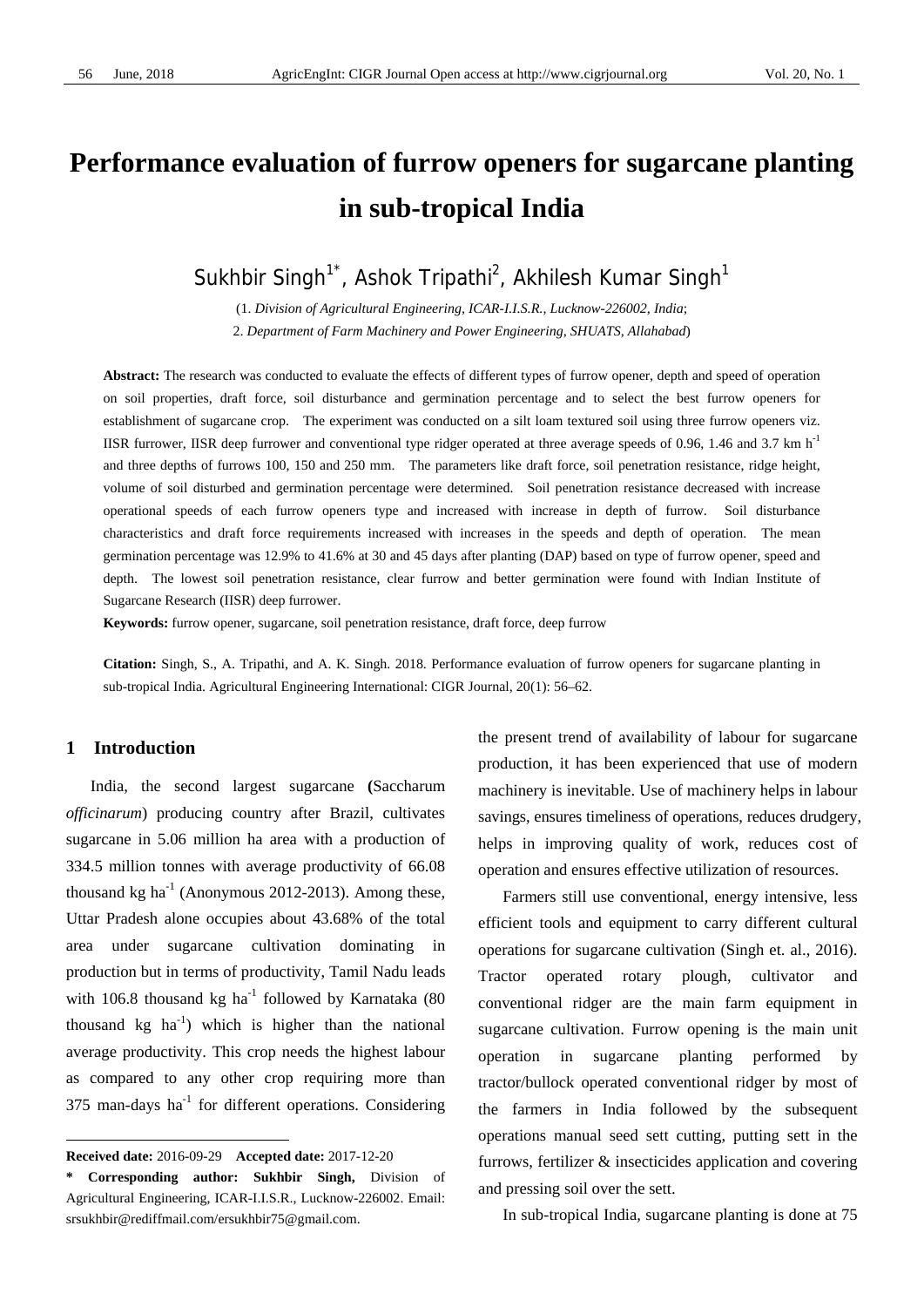# **Performance evaluation of furrow openers for sugarcane planting in sub-tropical India**

Sukhbir Singh<sup>1\*</sup>, Ashok Tripathi<sup>2</sup>, Akhilesh Kumar Singh<sup>1</sup>

(1. *Division of Agricultural Engineering, ICAR-I.I.S.R., Lucknow-226002, India*; 2. *Department of Farm Machinery and Power Engineering, SHUATS, Allahabad*)

**Abstract:** The research was conducted to evaluate the effects of different types of furrow opener, depth and speed of operation on soil properties, draft force, soil disturbance and germination percentage and to select the best furrow openers for establishment of sugarcane crop. The experiment was conducted on a silt loam textured soil using three furrow openers viz. IISR furrower, IISR deep furrower and conventional type ridger operated at three average speeds of 0.96, 1.46 and 3.7 km h<sup>-1</sup> and three depths of furrows 100, 150 and 250 mm. The parameters like draft force, soil penetration resistance, ridge height, volume of soil disturbed and germination percentage were determined. Soil penetration resistance decreased with increase operational speeds of each furrow openers type and increased with increase in depth of furrow. Soil disturbance characteristics and draft force requirements increased with increases in the speeds and depth of operation. The mean germination percentage was 12.9% to 41.6% at 30 and 45 days after planting (DAP) based on type of furrow opener, speed and depth. The lowest soil penetration resistance, clear furrow and better germination were found with Indian Institute of Sugarcane Research (IISR) deep furrower.

**Keywords:** furrow opener, sugarcane, soil penetration resistance, draft force, deep furrow

**Citation:** Singh, S., A. Tripathi, and A. K. Singh. 2018. Performance evaluation of furrow openers for sugarcane planting in sub-tropical India. Agricultural Engineering International: CIGR Journal, 20(1): 56–62.

# **1 Introduction**

 $\overline{a}$ 

India, the second largest sugarcane **(**Saccharum *officinarum*) producing country after Brazil, cultivates sugarcane in 5.06 million ha area with a production of 334.5 million tonnes with average productivity of 66.08 thousand kg ha<sup>-1</sup> (Anonymous 2012-2013). Among these, Uttar Pradesh alone occupies about 43.68% of the total area under sugarcane cultivation dominating in production but in terms of productivity, Tamil Nadu leads with 106.8 thousand kg ha<sup>-1</sup> followed by Karnataka  $(80)$ thousand kg  $ha^{-1}$ ) which is higher than the national average productivity. This crop needs the highest labour as compared to any other crop requiring more than  $375$  man-days ha<sup>-1</sup> for different operations. Considering the present trend of availability of labour for sugarcane production, it has been experienced that use of modern machinery is inevitable. Use of machinery helps in labour savings, ensures timeliness of operations, reduces drudgery, helps in improving quality of work, reduces cost of operation and ensures effective utilization of resources.

Farmers still use conventional, energy intensive, less efficient tools and equipment to carry different cultural operations for sugarcane cultivation (Singh et. al., 2016). Tractor operated rotary plough, cultivator and conventional ridger are the main farm equipment in sugarcane cultivation. Furrow opening is the main unit operation in sugarcane planting performed by tractor/bullock operated conventional ridger by most of the farmers in India followed by the subsequent operations manual seed sett cutting, putting sett in the furrows, fertilizer & insecticides application and covering and pressing soil over the sett.

In sub-tropical India, sugarcane planting is done at 75

**Received date:** 2016-09-29 **Accepted date:** 2017-12-20

**<sup>\*</sup> Corresponding author: Sukhbir Singh,** Division of Agricultural Engineering, ICAR-I.I.S.R., Lucknow-226002. Email: srsukhbir@rediffmail.com/ersukhbir75@gmail.com.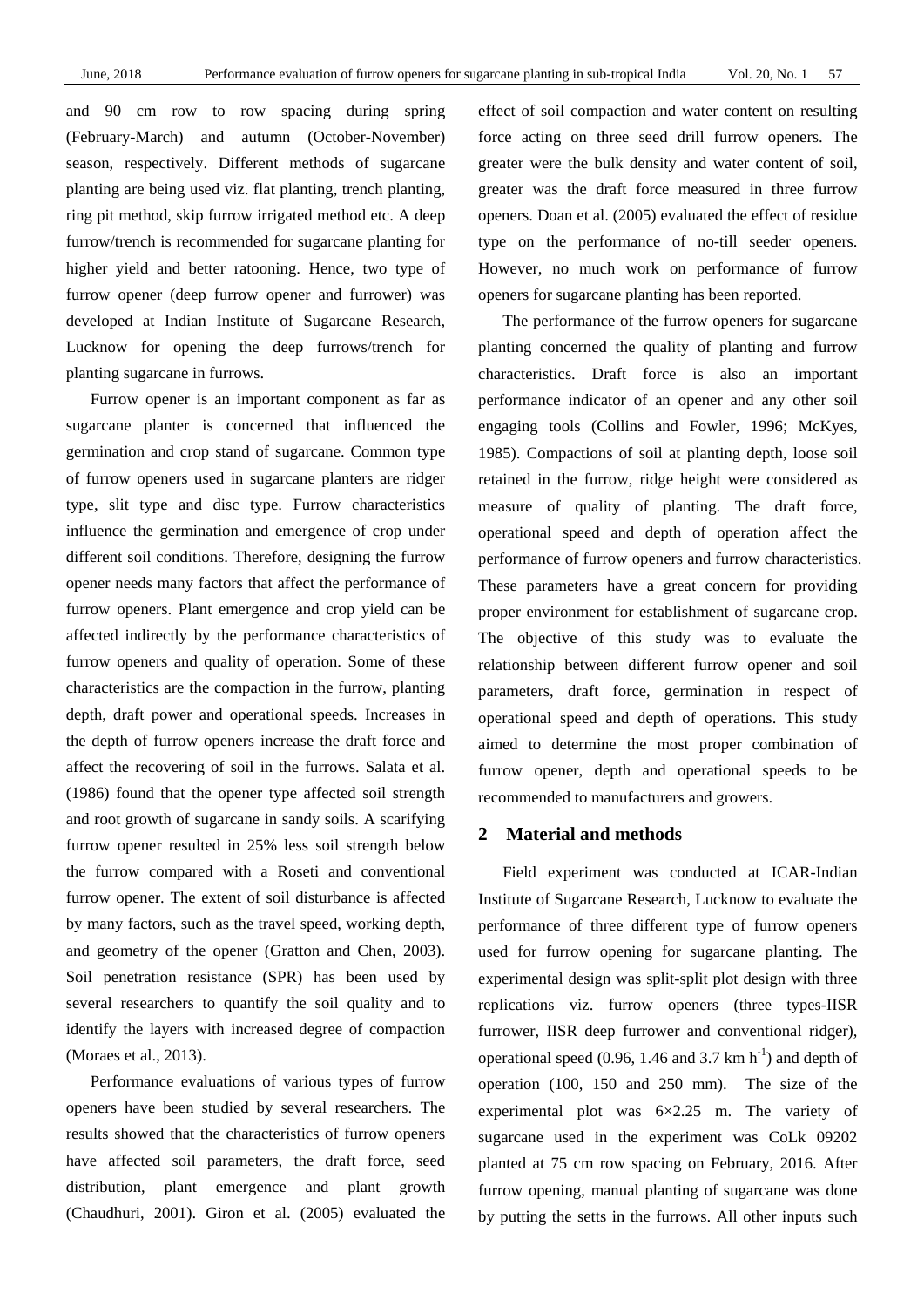and 90 cm row to row spacing during spring (February-March) and autumn (October-November) season, respectively. Different methods of sugarcane planting are being used viz. flat planting, trench planting, ring pit method, skip furrow irrigated method etc. A deep furrow/trench is recommended for sugarcane planting for higher yield and better ratooning. Hence, two type of furrow opener (deep furrow opener and furrower) was developed at Indian Institute of Sugarcane Research, Lucknow for opening the deep furrows/trench for planting sugarcane in furrows.

Furrow opener is an important component as far as sugarcane planter is concerned that influenced the germination and crop stand of sugarcane. Common type of furrow openers used in sugarcane planters are ridger type, slit type and disc type. Furrow characteristics influence the germination and emergence of crop under different soil conditions. Therefore, designing the furrow opener needs many factors that affect the performance of furrow openers. Plant emergence and crop yield can be affected indirectly by the performance characteristics of furrow openers and quality of operation. Some of these characteristics are the compaction in the furrow, planting depth, draft power and operational speeds. Increases in the depth of furrow openers increase the draft force and affect the recovering of soil in the furrows. Salata et al. (1986) found that the opener type affected soil strength and root growth of sugarcane in sandy soils. A scarifying furrow opener resulted in 25% less soil strength below the furrow compared with a Roseti and conventional furrow opener. The extent of soil disturbance is affected by many factors, such as the travel speed, working depth, and geometry of the opener (Gratton and Chen, 2003). Soil penetration resistance (SPR) has been used by several researchers to quantify the soil quality and to identify the layers with increased degree of compaction (Moraes et al., 2013).

Performance evaluations of various types of furrow openers have been studied by several researchers. The results showed that the characteristics of furrow openers have affected soil parameters, the draft force, seed distribution, plant emergence and plant growth (Chaudhuri, 2001). Giron et al. (2005) evaluated the effect of soil compaction and water content on resulting force acting on three seed drill furrow openers. The greater were the bulk density and water content of soil, greater was the draft force measured in three furrow openers. Doan et al. (2005) evaluated the effect of residue type on the performance of no-till seeder openers. However, no much work on performance of furrow openers for sugarcane planting has been reported.

The performance of the furrow openers for sugarcane planting concerned the quality of planting and furrow characteristics. Draft force is also an important performance indicator of an opener and any other soil engaging tools (Collins and Fowler, 1996; McKyes, 1985). Compactions of soil at planting depth, loose soil retained in the furrow, ridge height were considered as measure of quality of planting. The draft force, operational speed and depth of operation affect the performance of furrow openers and furrow characteristics. These parameters have a great concern for providing proper environment for establishment of sugarcane crop. The objective of this study was to evaluate the relationship between different furrow opener and soil parameters, draft force, germination in respect of operational speed and depth of operations. This study aimed to determine the most proper combination of furrow opener, depth and operational speeds to be recommended to manufacturers and growers.

# **2 Material and methods**

Field experiment was conducted at ICAR-Indian Institute of Sugarcane Research, Lucknow to evaluate the performance of three different type of furrow openers used for furrow opening for sugarcane planting. The experimental design was split-split plot design with three replications viz. furrow openers (three types-IISR furrower, IISR deep furrower and conventional ridger), operational speed (0.96, 1.46 and 3.7 km  $h^{-1}$ ) and depth of operation (100, 150 and 250 mm). The size of the experimental plot was 6×2.25 m. The variety of sugarcane used in the experiment was CoLk 09202 planted at 75 cm row spacing on February, 2016. After furrow opening, manual planting of sugarcane was done by putting the setts in the furrows. All other inputs such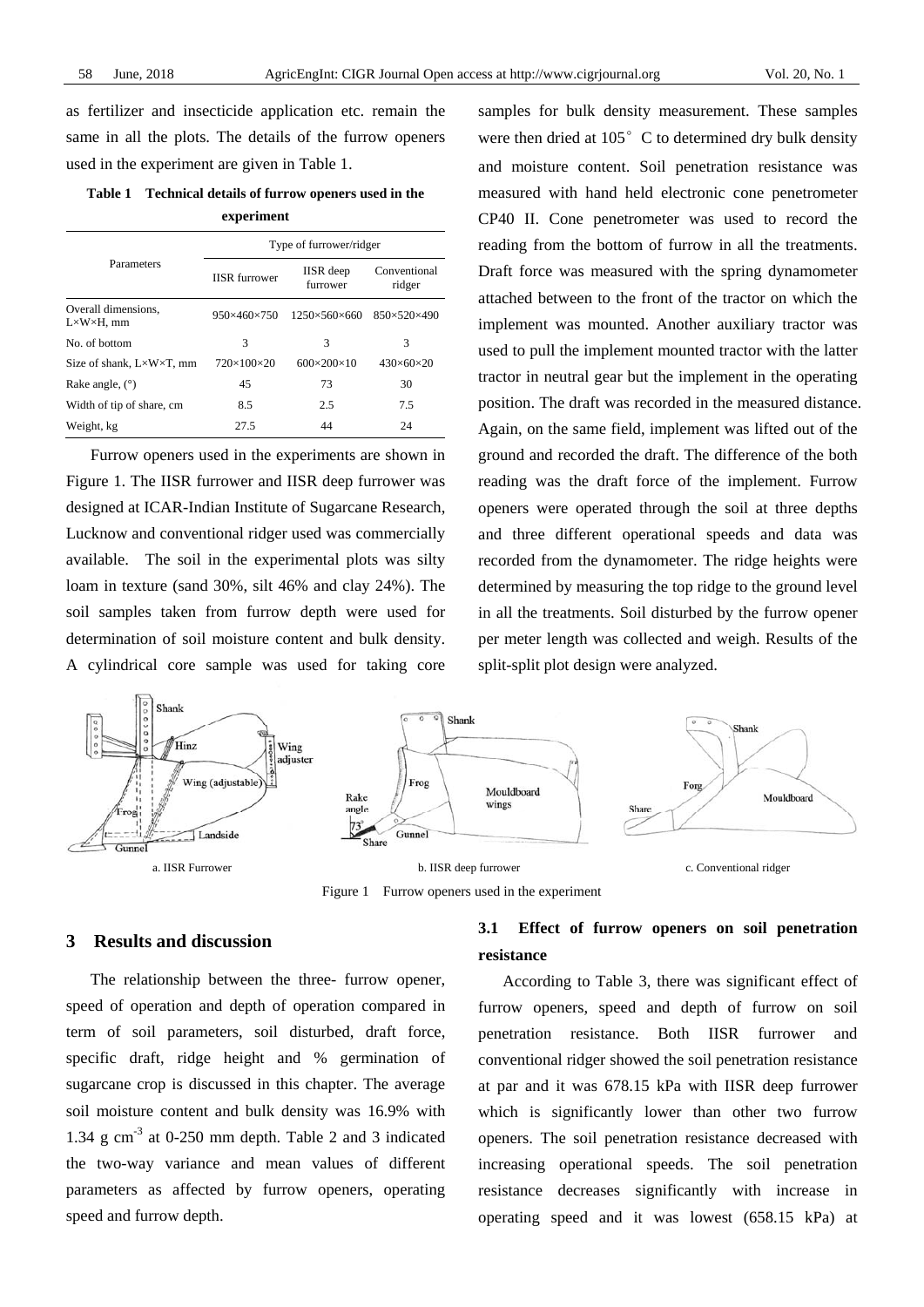as fertilizer and insecticide application etc. remain the same in all the plots. The details of the furrow openers used in the experiment are given in Table 1.

# **Table 1 Technical details of furrow openers used in the experiment**

|                                                   | Type of furrower/ridger |                              |                         |  |  |
|---------------------------------------------------|-------------------------|------------------------------|-------------------------|--|--|
| Parameters                                        | <b>IISR</b> furrower    | <b>IISR</b> deep<br>furrower | Conventional<br>ridger  |  |  |
| Overall dimensions,<br>$L \times W \times H$ , mm | $950\times460\times750$ | $1250\times560\times660$     | 850×520×490             |  |  |
| No. of bottom                                     | 3                       | 3                            | 3                       |  |  |
| Size of shank, $L \times W \times T$ , mm         | $720\times100\times20$  | $600 \times 200 \times 10$   | $430\times 60\times 20$ |  |  |
| Rake angle, $(°)$                                 | 45                      | 73                           | 30                      |  |  |
| Width of tip of share, cm                         | 8.5                     | 2.5                          | 7.5                     |  |  |
| Weight, kg                                        | 27.5                    | 44                           | 24                      |  |  |

Furrow openers used in the experiments are shown in Figure 1. The IISR furrower and IISR deep furrower was designed at ICAR-Indian Institute of Sugarcane Research, Lucknow and conventional ridger used was commercially available. The soil in the experimental plots was silty loam in texture (sand 30%, silt 46% and clay 24%). The soil samples taken from furrow depth were used for determination of soil moisture content and bulk density. A cylindrical core sample was used for taking core samples for bulk density measurement. These samples were then dried at  $105^\circ$  C to determined dry bulk density and moisture content. Soil penetration resistance was measured with hand held electronic cone penetrometer CP40 II. Cone penetrometer was used to record the reading from the bottom of furrow in all the treatments. Draft force was measured with the spring dynamometer attached between to the front of the tractor on which the implement was mounted. Another auxiliary tractor was used to pull the implement mounted tractor with the latter tractor in neutral gear but the implement in the operating position. The draft was recorded in the measured distance. Again, on the same field, implement was lifted out of the ground and recorded the draft. The difference of the both reading was the draft force of the implement. Furrow openers were operated through the soil at three depths and three different operational speeds and data was recorded from the dynamometer. The ridge heights were determined by measuring the top ridge to the ground level in all the treatments. Soil disturbed by the furrow opener per meter length was collected and weigh. Results of the split-split plot design were analyzed.



Figure 1 Furrow openers used in the experiment

# **3 Results and discussion**

The relationship between the three- furrow opener, speed of operation and depth of operation compared in term of soil parameters, soil disturbed, draft force, specific draft, ridge height and % germination of sugarcane crop is discussed in this chapter. The average soil moisture content and bulk density was 16.9% with 1.34 g  $\text{cm}^{-3}$  at 0-250 mm depth. Table 2 and 3 indicated the two-way variance and mean values of different parameters as affected by furrow openers, operating speed and furrow depth.

# **3.1 Effect of furrow openers on soil penetration resistance**

According to Table 3, there was significant effect of furrow openers, speed and depth of furrow on soil penetration resistance. Both IISR furrower and conventional ridger showed the soil penetration resistance at par and it was 678.15 kPa with IISR deep furrower which is significantly lower than other two furrow openers. The soil penetration resistance decreased with increasing operational speeds. The soil penetration resistance decreases significantly with increase in operating speed and it was lowest (658.15 kPa) at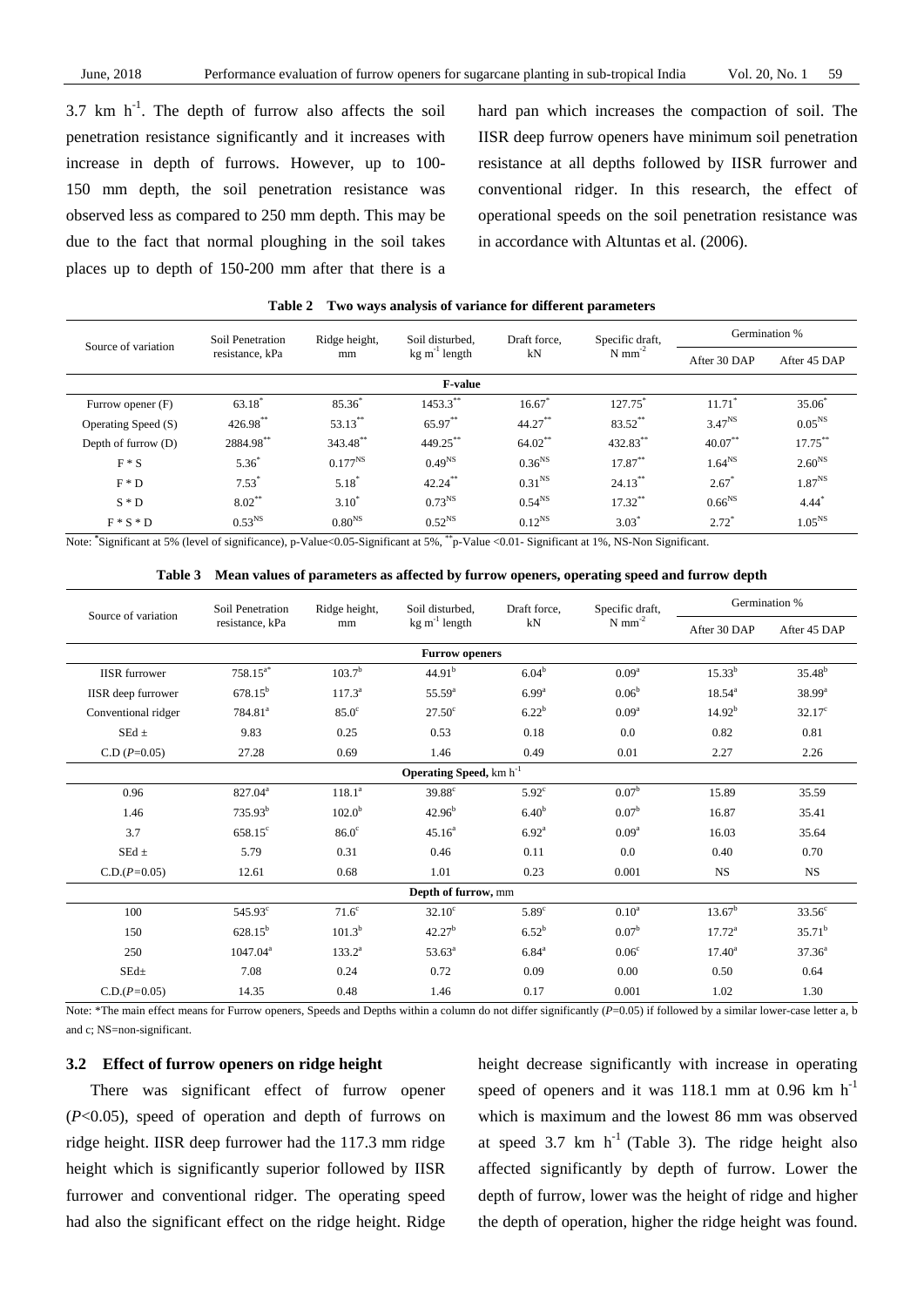$3.7 \text{ km h}^{-1}$ . The depth of furrow also affects the soil penetration resistance significantly and it increases with increase in depth of furrows. However, up to 100- 150 mm depth, the soil penetration resistance was observed less as compared to 250 mm depth. This may be due to the fact that normal ploughing in the soil takes places up to depth of 150-200 mm after that there is a

hard pan which increases the compaction of soil. The IISR deep furrow openers have minimum soil penetration resistance at all depths followed by IISR furrower and conventional ridger. In this research, the effect of operational speeds on the soil penetration resistance was in accordance with Altuntas et al. (2006).

| <b>Table 2</b> |  |  | Two ways analysis of variance for different parameters |
|----------------|--|--|--------------------------------------------------------|
|----------------|--|--|--------------------------------------------------------|

| Source of variation | Soil Penetration<br>resistance, kPa | Ridge height,      | Soil disturbed.<br>$kg \, \text{m}^{-1}$ length | Draft force,<br>kN | Specific draft,<br>$N$ mm <sup>-2</sup> | Germination %        |                     |
|---------------------|-------------------------------------|--------------------|-------------------------------------------------|--------------------|-----------------------------------------|----------------------|---------------------|
|                     |                                     | mm                 |                                                 |                    |                                         | After 30 DAP         | After 45 DAP        |
| <b>F-value</b>      |                                     |                    |                                                 |                    |                                         |                      |                     |
| Furrow opener (F)   | $63.18*$                            | $85.36^{*}$        | 1453.3**                                        | 16.67              | 127.75*                                 | $11.71$ <sup>*</sup> | $35.06*$            |
| Operating Speed (S) | 426.98**                            | 53.13**            | 65.97**                                         | $44.27***$         | 83.52**                                 | $3.47^{NS}$          | $0.05^{NS}$         |
| Depth of furrow (D) | 2884.98**                           | 343.48**           | 449.25**                                        | $64.02$ **         | 432.83**                                | $40.07***$           | $17.75***$          |
| $F * S$             | $5.36*$                             | $0.177^{NS}$       | $0.49^{NS}$                                     | $0.36^{NS}$        | $17.87**$                               | 1.64 <sup>NS</sup>   | $2.60^{NS}$         |
| $F \ast D$          | $7.53*$                             | $5.18^{\degree}$   | $42.24***$                                      | $0.31^{NS}$        | $24.13***$                              | $2.67*$              | $1.87^{NS}$         |
| $S * D$             | $8.02***$                           | $3.10^{*}$         | 0.73 <sup>NS</sup>                              | $0.54^{NS}$        | $17.32***$                              | $0.66^{NS}$          | $4.44$ <sup>*</sup> |
| $F * S * D$         | 0.53 <sup>NS</sup>                  | 0.80 <sup>NS</sup> | $0.52^{NS}$<br><b>Service</b>                   | $0.12^{NS}$        | $3.03^*$                                | $2.72*$              | 1.05 <sup>NS</sup>  |

Note:  $*$ Significant at 5% (level of significance), p-Value<0.05-Significant at 5%,  $*$ <sup>+</sup>p-Value <0.01- Significant at 1%, NS-Non Significant.

| Table 3 Mean values of parameters as affected by furrow openers, operating speed and furrow depth |  |
|---------------------------------------------------------------------------------------------------|--|
|                                                                                                   |  |

| Source of variation       | Soil Penetration<br>resistance, kPa<br>mm | Ridge height,      | Soil disturbed.<br>$kg \, \text{m}^{-1}$ length | Draft force,<br>kN | Specific draft,<br>$N$ mm <sup>-2</sup> | Germination %      |                 |
|---------------------------|-------------------------------------------|--------------------|-------------------------------------------------|--------------------|-----------------------------------------|--------------------|-----------------|
|                           |                                           |                    |                                                 |                    |                                         | After 30 DAP       | After 45 DAP    |
|                           |                                           |                    | <b>Furrow openers</b>                           |                    |                                         |                    |                 |
| <b>IISR</b> furrower      | $758.15^{a*}$                             | $103.7^{b}$        | 44.91 <sup>b</sup>                              | $6.04^{b}$         | 0.09 <sup>a</sup>                       | $15.33^{b}$        | $35.48^{b}$     |
| <b>IISR</b> deep furrower | $678.15^{b}$                              | $117.3^a$          | $55.59^{a}$                                     | $6.99^{a}$         | 0.06 <sup>b</sup>                       | $18.54^{a}$        | $38.99^{\rm a}$ |
| Conventional ridger       | 784.81 <sup>a</sup>                       | $85.0^\circ$       | $27.50^{\circ}$                                 | $6.22^{b}$         | 0.09 <sup>a</sup>                       | 14.92 <sup>b</sup> | $32.17^{\circ}$ |
| SEd $\pm$                 | 9.83                                      | 0.25               | 0.53                                            | 0.18               | 0.0                                     | 0.82               | 0.81            |
| $C.D (P=0.05)$            | 27.28                                     | 0.69               | 1.46                                            | 0.49               | 0.01                                    | 2.27               | 2.26            |
|                           |                                           |                    | Operating Speed, km h <sup>-1</sup>             |                    |                                         |                    |                 |
| 0.96                      | 827.04 <sup>a</sup>                       | 118.1 <sup>a</sup> | $39.88^\circ$                                   | $5.92^\circ$       | 0.07 <sup>b</sup>                       | 15.89              | 35.59           |
| 1.46                      | $735.93^b$                                | $102.0^{b}$        | $42.96^{b}$                                     | 6.40 <sup>b</sup>  | $0.07^{\rm b}$                          | 16.87              | 35.41           |
| 3.7                       | $658.15^{\circ}$                          | 86.0 <sup>c</sup>  | $45.16^a$                                       | 6.92 <sup>a</sup>  | 0.09 <sup>a</sup>                       | 16.03              | 35.64           |
| SEd $\pm$                 | 5.79                                      | 0.31               | 0.46                                            | 0.11               | 0.0                                     | 0.40               | 0.70            |
| $C.D.(P=0.05)$            | 12.61                                     | 0.68               | 1.01                                            | 0.23               | 0.001                                   | <b>NS</b>          | <b>NS</b>       |
| Depth of furrow, mm       |                                           |                    |                                                 |                    |                                         |                    |                 |
| 100                       | $545.93^{\circ}$                          | 71.6 <sup>c</sup>  | $32.10^{\circ}$                                 | $5.89^\circ$       | 0.10 <sup>a</sup>                       | $13.67^b$          | $33.56^{\circ}$ |
| 150                       | $628.15^{b}$                              | $101.3^{b}$        | 42.27 <sup>b</sup>                              | $6.52^{b}$         | 0.07 <sup>b</sup>                       | $17.72^{\rm a}$    | $35.71^{\rm b}$ |
| 250                       | $1047.04^a$                               | $133.2^a$          | $53.63^{\circ}$                                 | $6.84^{a}$         | 0.06 <sup>c</sup>                       | $17.40^a$          | $37.36^a$       |
| $SEd\pm$                  | 7.08                                      | 0.24               | 0.72                                            | 0.09               | 0.00                                    | 0.50               | 0.64            |
| $C.D.(P=0.05)$            | 14.35                                     | 0.48               | 1.46                                            | 0.17               | 0.001                                   | 1.02               | 1.30            |

Note: \*The main effect means for Furrow openers, Speeds and Depths within a column do not differ significantly  $(P=0.05)$  if followed by a similar lower-case letter a, b and c; NS=non-significant.

# **3.2 Effect of furrow openers on ridge height**

There was significant effect of furrow opener (*P*<0.05), speed of operation and depth of furrows on ridge height. IISR deep furrower had the 117.3 mm ridge height which is significantly superior followed by IISR furrower and conventional ridger. The operating speed had also the significant effect on the ridge height. Ridge height decrease significantly with increase in operating speed of openers and it was 118.1 mm at 0.96 km  $h^{-1}$ which is maximum and the lowest 86 mm was observed at speed 3.7 km  $h^{-1}$  (Table 3). The ridge height also affected significantly by depth of furrow. Lower the depth of furrow, lower was the height of ridge and higher the depth of operation, higher the ridge height was found.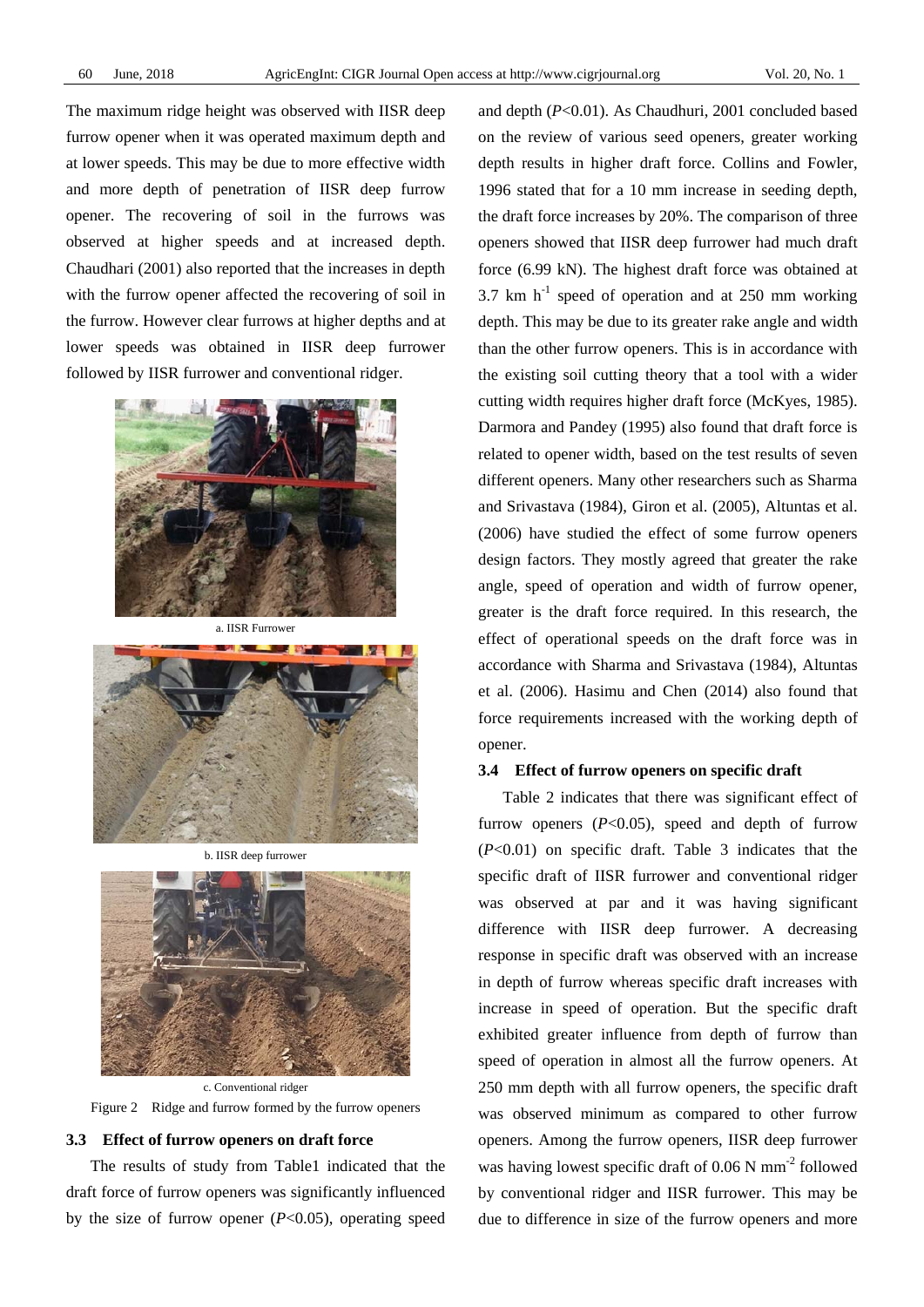The maximum ridge height was observed with IISR deep furrow opener when it was operated maximum depth and at lower speeds. This may be due to more effective width and more depth of penetration of IISR deep furrow opener. The recovering of soil in the furrows was observed at higher speeds and at increased depth. Chaudhari (2001) also reported that the increases in depth with the furrow opener affected the recovering of soil in the furrow. However clear furrows at higher depths and at lower speeds was obtained in IISR deep furrower followed by IISR furrower and conventional ridger.



a. IISR Furrower



b. IISR deep furrower



c. Conventional ridger Figure 2 Ridge and furrow formed by the furrow openers

#### **3.3 Effect of furrow openers on draft force**

The results of study from Table1 indicated that the draft force of furrow openers was significantly influenced by the size of furrow opener (*P*<0.05), operating speed and depth (*P*<0.01). As Chaudhuri, 2001 concluded based on the review of various seed openers, greater working depth results in higher draft force. Collins and Fowler, 1996 stated that for a 10 mm increase in seeding depth, the draft force increases by 20%. The comparison of three openers showed that IISR deep furrower had much draft force (6.99 kN). The highest draft force was obtained at 3.7 km  $h^{-1}$  speed of operation and at 250 mm working depth. This may be due to its greater rake angle and width than the other furrow openers. This is in accordance with the existing soil cutting theory that a tool with a wider cutting width requires higher draft force (McKyes, 1985). Darmora and Pandey (1995) also found that draft force is related to opener width, based on the test results of seven different openers. Many other researchers such as Sharma and Srivastava (1984), Giron et al. (2005), Altuntas et al. (2006) have studied the effect of some furrow openers design factors. They mostly agreed that greater the rake angle, speed of operation and width of furrow opener, greater is the draft force required. In this research, the effect of operational speeds on the draft force was in accordance with Sharma and Srivastava (1984), Altuntas et al. (2006). Hasimu and Chen (2014) also found that force requirements increased with the working depth of opener.

### **3.4 Effect of furrow openers on specific draft**

Table 2 indicates that there was significant effect of furrow openers  $(P<0.05)$ , speed and depth of furrow (*P*<0.01) on specific draft. Table 3 indicates that the specific draft of IISR furrower and conventional ridger was observed at par and it was having significant difference with IISR deep furrower. A decreasing response in specific draft was observed with an increase in depth of furrow whereas specific draft increases with increase in speed of operation. But the specific draft exhibited greater influence from depth of furrow than speed of operation in almost all the furrow openers. At 250 mm depth with all furrow openers, the specific draft was observed minimum as compared to other furrow openers. Among the furrow openers, IISR deep furrower was having lowest specific draft of  $0.06$  N mm<sup>-2</sup> followed by conventional ridger and IISR furrower. This may be due to difference in size of the furrow openers and more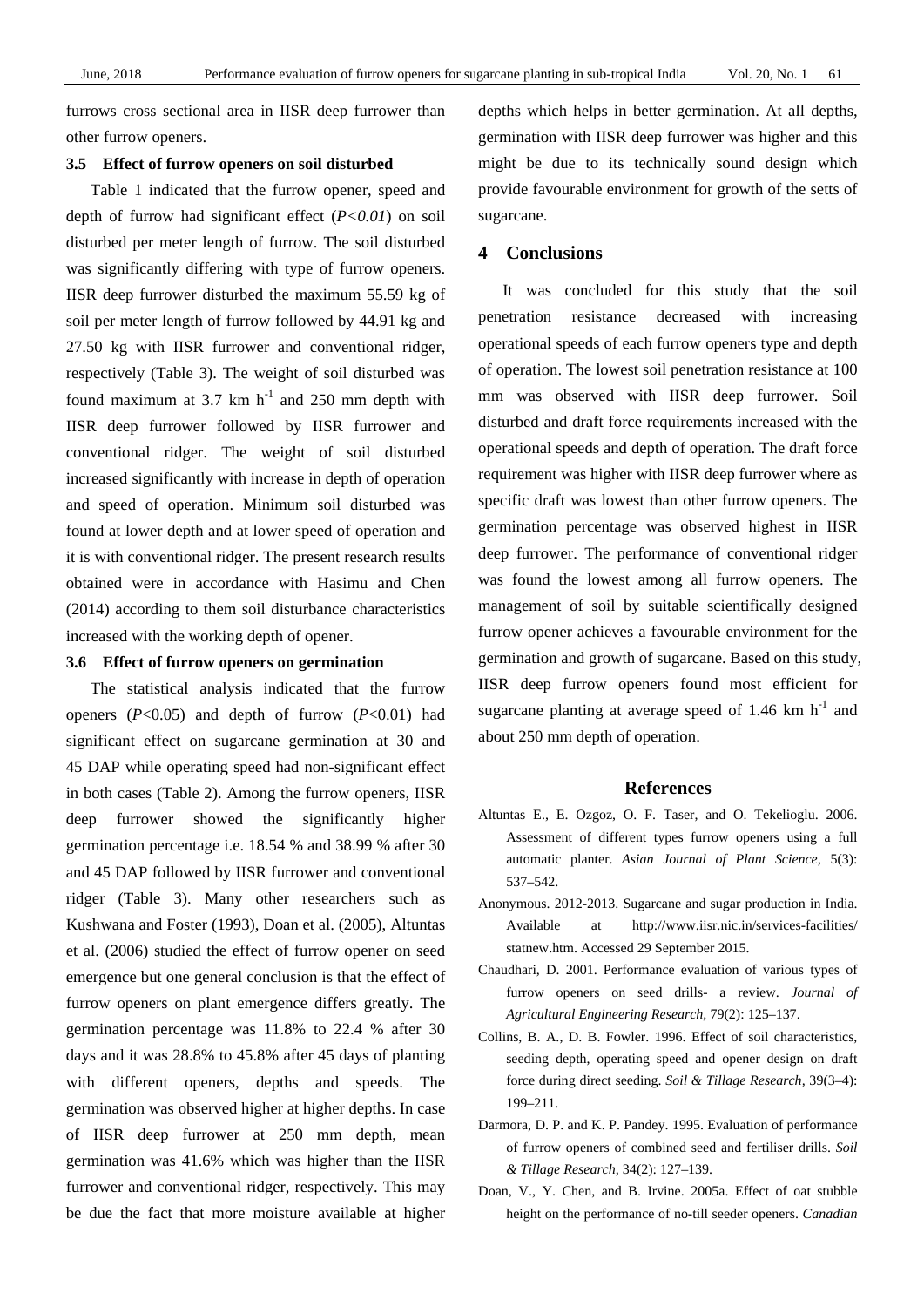furrows cross sectional area in IISR deep furrower than other furrow openers.

## **3.5 Effect of furrow openers on soil disturbed**

Table 1 indicated that the furrow opener, speed and depth of furrow had significant effect (*P<0.01*) on soil disturbed per meter length of furrow. The soil disturbed was significantly differing with type of furrow openers. IISR deep furrower disturbed the maximum 55.59 kg of soil per meter length of furrow followed by 44.91 kg and 27.50 kg with IISR furrower and conventional ridger, respectively (Table 3). The weight of soil disturbed was found maximum at 3.7 km  $h^{-1}$  and 250 mm depth with IISR deep furrower followed by IISR furrower and conventional ridger. The weight of soil disturbed increased significantly with increase in depth of operation and speed of operation. Minimum soil disturbed was found at lower depth and at lower speed of operation and it is with conventional ridger. The present research results obtained were in accordance with Hasimu and Chen (2014) according to them soil disturbance characteristics increased with the working depth of opener.

# **3.6 Effect of furrow openers on germination**

The statistical analysis indicated that the furrow openers (*P*<0.05) and depth of furrow (*P*<0.01) had significant effect on sugarcane germination at 30 and 45 DAP while operating speed had non-significant effect in both cases (Table 2). Among the furrow openers, IISR deep furrower showed the significantly higher germination percentage i.e. 18.54 % and 38.99 % after 30 and 45 DAP followed by IISR furrower and conventional ridger (Table 3). Many other researchers such as Kushwana and Foster (1993), Doan et al. (2005), Altuntas et al. (2006) studied the effect of furrow opener on seed emergence but one general conclusion is that the effect of furrow openers on plant emergence differs greatly. The germination percentage was 11.8% to 22.4 % after 30 days and it was 28.8% to 45.8% after 45 days of planting with different openers, depths and speeds. The germination was observed higher at higher depths. In case of IISR deep furrower at 250 mm depth, mean germination was 41.6% which was higher than the IISR furrower and conventional ridger, respectively. This may be due the fact that more moisture available at higher

depths which helps in better germination. At all depths, germination with IISR deep furrower was higher and this might be due to its technically sound design which provide favourable environment for growth of the setts of sugarcane.

# **4 Conclusions**

It was concluded for this study that the soil penetration resistance decreased with increasing operational speeds of each furrow openers type and depth of operation. The lowest soil penetration resistance at 100 mm was observed with IISR deep furrower. Soil disturbed and draft force requirements increased with the operational speeds and depth of operation. The draft force requirement was higher with IISR deep furrower where as specific draft was lowest than other furrow openers. The germination percentage was observed highest in IISR deep furrower. The performance of conventional ridger was found the lowest among all furrow openers. The management of soil by suitable scientifically designed furrow opener achieves a favourable environment for the germination and growth of sugarcane. Based on this study, IISR deep furrow openers found most efficient for sugarcane planting at average speed of  $1.46 \text{ km h}^{-1}$  and about 250 mm depth of operation.

# **References**

- Altuntas E., E. Ozgoz, O. F. Taser, and O. Tekelioglu. 2006. Assessment of different types furrow openers using a full automatic planter. *Asian Journal of Plant Science,* 5(3): 537–542.
- Anonymous. 2012-2013. Sugarcane and sugar production in India. Available at http://www.iisr.nic.in/services-facilities/ statnew.htm. Accessed 29 September 2015.
- Chaudhari, D. 2001. Performance evaluation of various types of furrow openers on seed drills- a review. *Journal of Agricultural Engineering Research,* 79(2): 125–137.
- Collins, B. A., D. B. Fowler. 1996. Effect of soil characteristics, seeding depth, operating speed and opener design on draft force during direct seeding. *Soil & Tillage Research,* 39(3–4): 199–211.
- Darmora, D. P. and K. P. Pandey. 1995. Evaluation of performance of furrow openers of combined seed and fertiliser drills. *Soil & Tillage Research,* 34(2): 127–139.
- Doan, V., Y. Chen, and B. Irvine. 2005a. Effect of oat stubble height on the performance of no-till seeder openers. *Canadian*